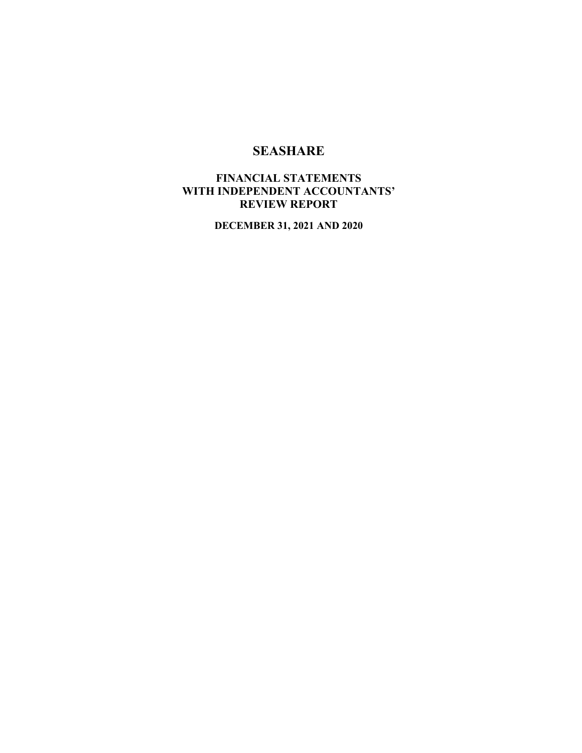# **SEASHARE**

## **FINANCIAL STATEMENTS WITH INDEPENDENT ACCOUNTANTS' REVIEW REPORT**

**DECEMBER 31, 2021 AND 2020**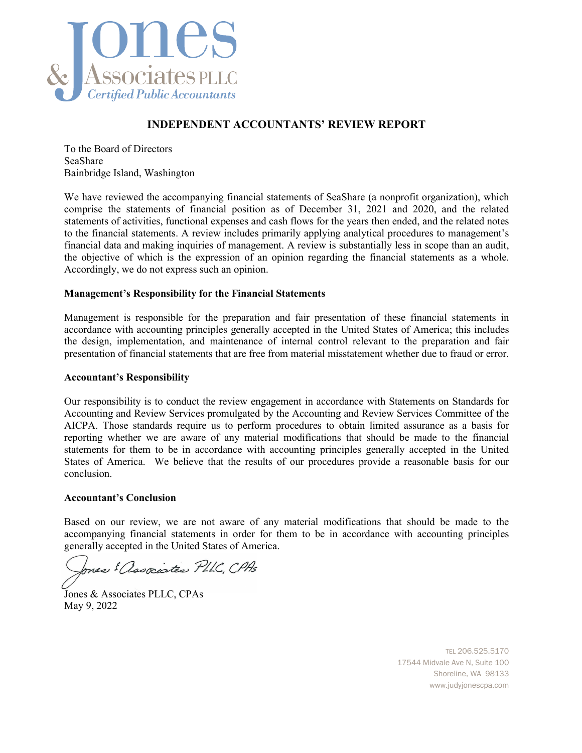

# **INDEPENDENT ACCOUNTANTS' REVIEW REPORT**

To the Board of Directors SeaShare Bainbridge Island, Washington

We have reviewed the accompanying financial statements of SeaShare (a nonprofit organization), which comprise the statements of financial position as of December 31, 2021 and 2020, and the related statements of activities, functional expenses and cash flows for the years then ended, and the related notes to the financial statements. A review includes primarily applying analytical procedures to management's financial data and making inquiries of management. A review is substantially less in scope than an audit, the objective of which is the expression of an opinion regarding the financial statements as a whole. Accordingly, we do not express such an opinion.

### **Management's Responsibility for the Financial Statements**

Management is responsible for the preparation and fair presentation of these financial statements in accordance with accounting principles generally accepted in the United States of America; this includes the design, implementation, and maintenance of internal control relevant to the preparation and fair presentation of financial statements that are free from material misstatement whether due to fraud or error.

#### **Accountant's Responsibility**

Our responsibility is to conduct the review engagement in accordance with Statements on Standards for Accounting and Review Services promulgated by the Accounting and Review Services Committee of the AICPA. Those standards require us to perform procedures to obtain limited assurance as a basis for reporting whether we are aware of any material modifications that should be made to the financial statements for them to be in accordance with accounting principles generally accepted in the United States of America. We believe that the results of our procedures provide a reasonable basis for our conclusion.

#### **Accountant's Conclusion**

Based on our review, we are not aware of any material modifications that should be made to the accompanying financial statements in order for them to be in accordance with accounting principles generally accepted in the United States of America.

Jones ! Associates PLLC, CPAs

Jones & Associates PLLC, CPAs May 9, 2022

TEL 206.525.5170 17544 Midvale Ave N, Suite 100 Shoreline, WA 98133 www.judyjonescpa.com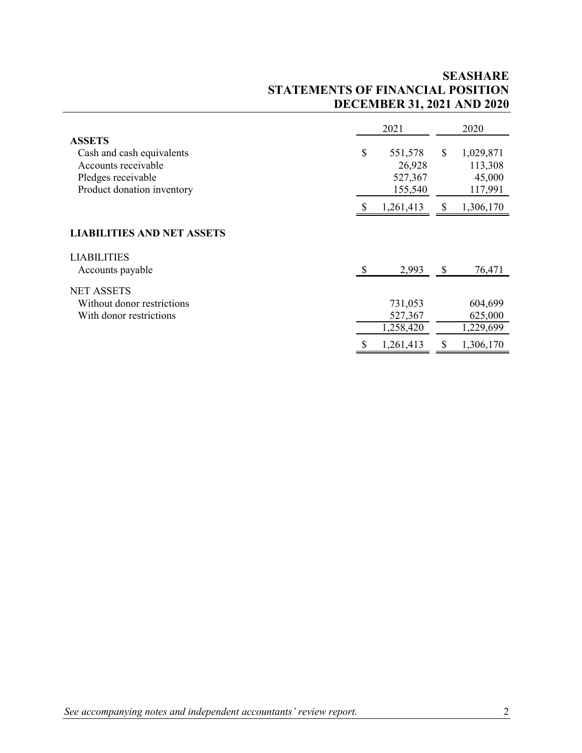# **SEASHARE STATEMENTS OF FINANCIAL POSITION DECEMBER 31, 2021 AND 2020**

|                                   | 2021          |           | 2020                      |           |
|-----------------------------------|---------------|-----------|---------------------------|-----------|
| <b>ASSETS</b>                     |               |           |                           |           |
| Cash and cash equivalents         | \$            | 551,578   | \$                        | 1,029,871 |
| Accounts receivable               |               | 26,928    |                           | 113,308   |
| Pledges receivable                |               | 527,367   |                           | 45,000    |
| Product donation inventory        |               | 155,540   |                           | 117,991   |
|                                   |               | 1,261,413 | S                         | 1,306,170 |
| <b>LIABILITIES AND NET ASSETS</b> |               |           |                           |           |
| <b>LIABILITIES</b>                |               |           |                           |           |
| Accounts payable                  | <sup>\$</sup> | 2,993     | $\boldsymbol{\mathsf{S}}$ | 76,471    |
| <b>NET ASSETS</b>                 |               |           |                           |           |
| Without donor restrictions        |               | 731,053   |                           | 604,699   |
| With donor restrictions           |               | 527,367   |                           | 625,000   |
|                                   |               | 1,258,420 |                           | 1,229,699 |
|                                   |               | 1,261,413 |                           | 1,306,170 |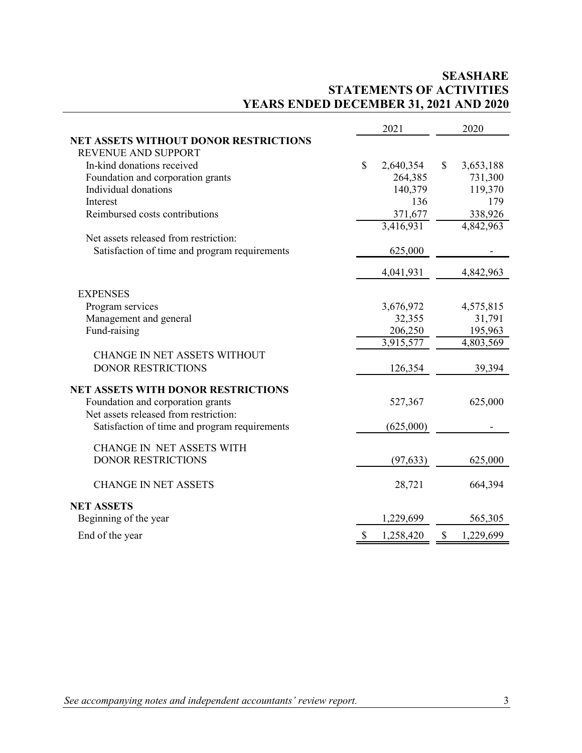|                                               | 2021                 |                           | 2020                 |
|-----------------------------------------------|----------------------|---------------------------|----------------------|
| <b>NET ASSETS WITHOUT DONOR RESTRICTIONS</b>  |                      |                           |                      |
| REVENUE AND SUPPORT                           |                      |                           |                      |
| In-kind donations received                    | \$<br>2,640,354      | $\boldsymbol{\mathsf{S}}$ | 3,653,188            |
| Foundation and corporation grants             | 264,385              |                           | 731,300              |
| Individual donations                          | 140,379<br>136       |                           | 119,370<br>179       |
| Interest<br>Reimbursed costs contributions    |                      |                           |                      |
|                                               | 371,677<br>3,416,931 |                           | 338,926<br>4,842,963 |
| Net assets released from restriction:         |                      |                           |                      |
| Satisfaction of time and program requirements | 625,000              |                           |                      |
|                                               |                      |                           |                      |
|                                               | 4,041,931            |                           | 4,842,963            |
|                                               |                      |                           |                      |
| <b>EXPENSES</b>                               |                      |                           |                      |
| Program services<br>Management and general    | 3,676,972<br>32,355  |                           | 4,575,815<br>31,791  |
| Fund-raising                                  | 206,250              |                           | 195,963              |
|                                               | 3,915,577            |                           | 4,803,569            |
| <b>CHANGE IN NET ASSETS WITHOUT</b>           |                      |                           |                      |
| <b>DONOR RESTRICTIONS</b>                     | 126,354              |                           | 39,394               |
|                                               |                      |                           |                      |
| <b>NET ASSETS WITH DONOR RESTRICTIONS</b>     |                      |                           |                      |
| Foundation and corporation grants             | 527,367              |                           | 625,000              |
| Net assets released from restriction:         |                      |                           |                      |
| Satisfaction of time and program requirements | (625,000)            |                           |                      |
| CHANGE IN NET ASSETS WITH                     |                      |                           |                      |
| <b>DONOR RESTRICTIONS</b>                     | (97, 633)            |                           | 625,000              |
|                                               |                      |                           |                      |
| <b>CHANGE IN NET ASSETS</b>                   | 28,721               |                           | 664,394              |
| <b>NET ASSETS</b>                             |                      |                           |                      |
| Beginning of the year                         | 1,229,699            |                           | 565,305              |
| End of the year                               | \$<br>1,258,420      | \$                        | 1,229,699            |

# **SEASHARE STATEMENTS OF ACTIVITIES YEARS ENDED DECEMBER 31, 2021 AND 2020**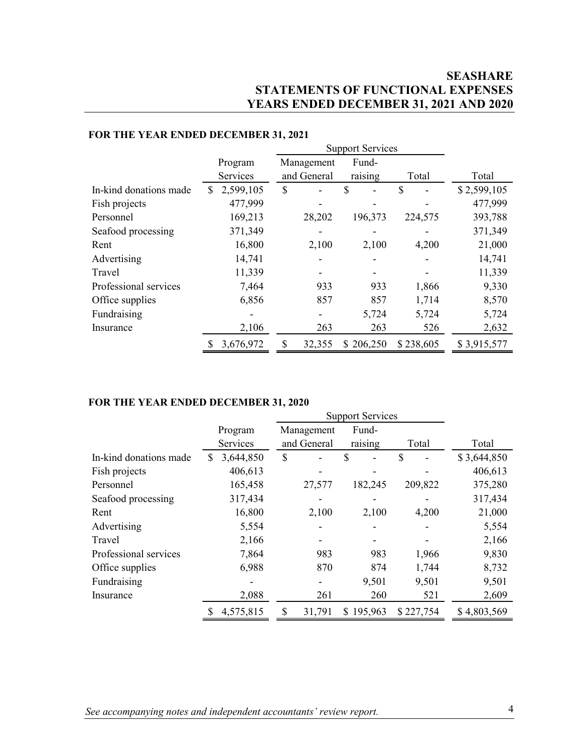# **SEASHARE STATEMENTS OF FUNCTIONAL EXPENSES YEARS ENDED DECEMBER 31, 2021 AND 2020**

|                        |                | <b>Support Services</b> |             |           |           |             |
|------------------------|----------------|-------------------------|-------------|-----------|-----------|-------------|
|                        | Program        |                         | Management  | Fund-     |           |             |
|                        | Services       |                         | and General | raising   | Total     | Total       |
| In-kind donations made | 2,599,105<br>S | \$                      |             | \$        | S         | \$2,599,105 |
| Fish projects          | 477,999        |                         |             |           |           | 477,999     |
| Personnel              | 169,213        |                         | 28,202      | 196,373   | 224,575   | 393,788     |
| Seafood processing     | 371,349        |                         |             |           |           | 371,349     |
| Rent                   | 16,800         |                         | 2,100       | 2,100     | 4,200     | 21,000      |
| Advertising            | 14,741         |                         |             |           |           | 14,741      |
| Travel                 | 11,339         |                         |             |           |           | 11,339      |
| Professional services  | 7,464          |                         | 933         | 933       | 1,866     | 9,330       |
| Office supplies        | 6,856          |                         | 857         | 857       | 1,714     | 8,570       |
| Fundraising            |                |                         |             | 5,724     | 5,724     | 5,724       |
| Insurance              | 2,106          |                         | 263         | 263       | 526       | 2,632       |
|                        | 3,676,972      | \$                      | 32,355      | \$206,250 | \$238,605 | \$3,915,577 |

# **FOR THE YEAR ENDED DECEMBER 31, 2021**

#### **FOR THE YEAR ENDED DECEMBER 31, 2020**

|                        | <b>Support Services</b> |           |    |                              |    |         |           |             |
|------------------------|-------------------------|-----------|----|------------------------------|----|---------|-----------|-------------|
|                        |                         | Program   |    | Management                   |    | Fund-   |           |             |
|                        |                         | Services  |    | and General                  |    | raising | Total     | Total       |
| In-kind donations made | \$                      | 3,644,850 | \$ |                              | \$ |         | \$        | \$3,644,850 |
| Fish projects          |                         | 406,613   |    |                              |    |         |           | 406,613     |
| Personnel              |                         | 165,458   |    | 27,577                       |    | 182,245 | 209,822   | 375,280     |
| Seafood processing     |                         | 317,434   |    |                              |    |         |           | 317,434     |
| Rent                   |                         | 16,800    |    | 2,100                        |    | 2,100   | 4,200     | 21,000      |
| Advertising            |                         | 5,554     |    | $\qquad \qquad \blacksquare$ |    |         |           | 5,554       |
| Travel                 |                         | 2,166     |    | $\overline{\phantom{a}}$     |    |         |           | 2,166       |
| Professional services  |                         | 7,864     |    | 983                          |    | 983     | 1,966     | 9,830       |
| Office supplies        |                         | 6,988     |    | 870                          |    | 874     | 1,744     | 8,732       |
| Fundraising            |                         |           |    |                              |    | 9,501   | 9,501     | 9,501       |
| Insurance              |                         | 2,088     |    | 261                          |    | 260     | 521       | 2,609       |
|                        |                         | 4,575,815 | \$ | 31,791                       | S. | 195,963 | \$227,754 | \$4,803,569 |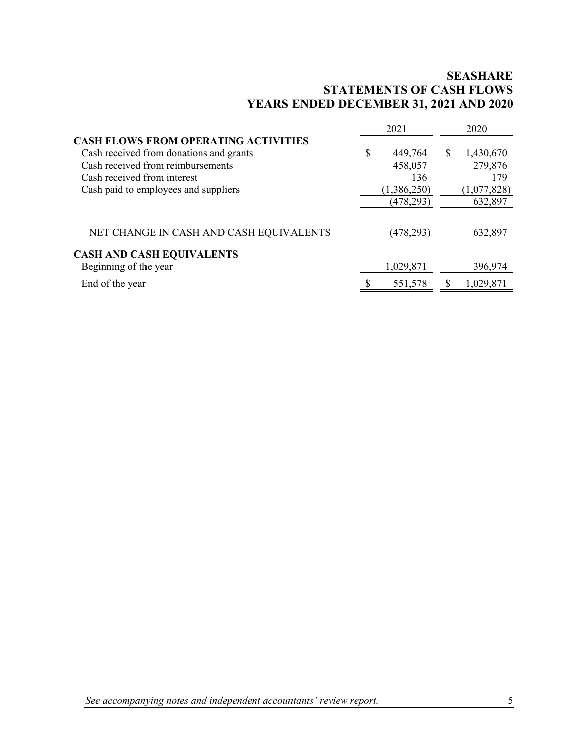# **SEASHARE STATEMENTS OF CASH FLOWS YEARS ENDED DECEMBER 31, 2021 AND 2020**

|                                             | 2021 |             |   | 2020        |  |  |
|---------------------------------------------|------|-------------|---|-------------|--|--|
| <b>CASH FLOWS FROM OPERATING ACTIVITIES</b> |      |             |   |             |  |  |
| Cash received from donations and grants     | \$   | 449,764     | S | 1,430,670   |  |  |
| Cash received from reimbursements           |      | 458,057     |   | 279,876     |  |  |
| Cash received from interest                 |      | 136         |   | 179         |  |  |
| Cash paid to employees and suppliers        |      | (1,386,250) |   | (1,077,828) |  |  |
|                                             |      | (478, 293)  |   | 632,897     |  |  |
| NET CHANGE IN CASH AND CASH EQUIVALENTS     |      | (478, 293)  |   | 632,897     |  |  |
| <b>CASH AND CASH EQUIVALENTS</b>            |      |             |   |             |  |  |
| Beginning of the year                       |      | 1,029,871   |   | 396,974     |  |  |
| End of the year                             |      | 551,578     |   | 1,029,871   |  |  |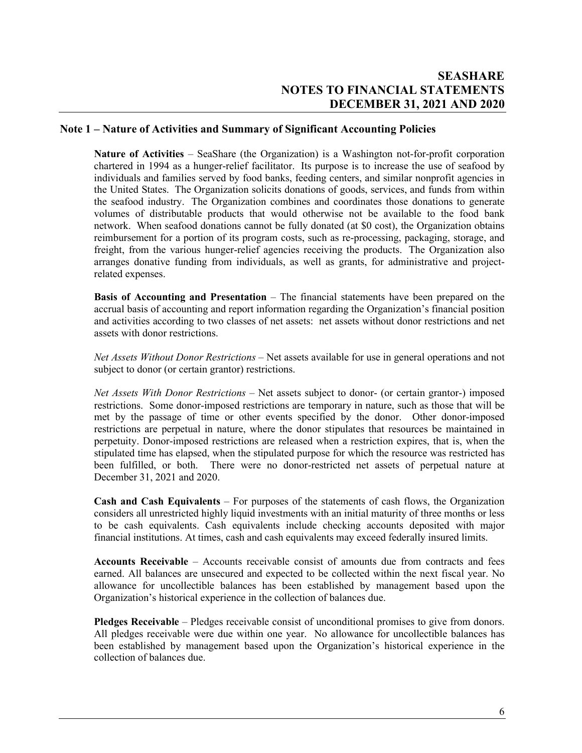#### **Note 1 – Nature of Activities and Summary of Significant Accounting Policies**

**Nature of Activities** – SeaShare (the Organization) is a Washington not-for-profit corporation chartered in 1994 as a hunger-relief facilitator. Its purpose is to increase the use of seafood by individuals and families served by food banks, feeding centers, and similar nonprofit agencies in the United States. The Organization solicits donations of goods, services, and funds from within the seafood industry. The Organization combines and coordinates those donations to generate volumes of distributable products that would otherwise not be available to the food bank network. When seafood donations cannot be fully donated (at \$0 cost), the Organization obtains reimbursement for a portion of its program costs, such as re-processing, packaging, storage, and freight, from the various hunger-relief agencies receiving the products. The Organization also arranges donative funding from individuals, as well as grants, for administrative and projectrelated expenses.

**Basis of Accounting and Presentation** – The financial statements have been prepared on the accrual basis of accounting and report information regarding the Organization's financial position and activities according to two classes of net assets: net assets without donor restrictions and net assets with donor restrictions.

*Net Assets Without Donor Restrictions* – Net assets available for use in general operations and not subject to donor (or certain grantor) restrictions.

*Net Assets With Donor Restrictions* – Net assets subject to donor- (or certain grantor-) imposed restrictions. Some donor-imposed restrictions are temporary in nature, such as those that will be met by the passage of time or other events specified by the donor. Other donor-imposed restrictions are perpetual in nature, where the donor stipulates that resources be maintained in perpetuity. Donor-imposed restrictions are released when a restriction expires, that is, when the stipulated time has elapsed, when the stipulated purpose for which the resource was restricted has been fulfilled, or both. There were no donor-restricted net assets of perpetual nature at December 31, 2021 and 2020.

**Cash and Cash Equivalents** – For purposes of the statements of cash flows, the Organization considers all unrestricted highly liquid investments with an initial maturity of three months or less to be cash equivalents. Cash equivalents include checking accounts deposited with major financial institutions. At times, cash and cash equivalents may exceed federally insured limits.

**Accounts Receivable** – Accounts receivable consist of amounts due from contracts and fees earned. All balances are unsecured and expected to be collected within the next fiscal year. No allowance for uncollectible balances has been established by management based upon the Organization's historical experience in the collection of balances due.

**Pledges Receivable** – Pledges receivable consist of unconditional promises to give from donors. All pledges receivable were due within one year. No allowance for uncollectible balances has been established by management based upon the Organization's historical experience in the collection of balances due.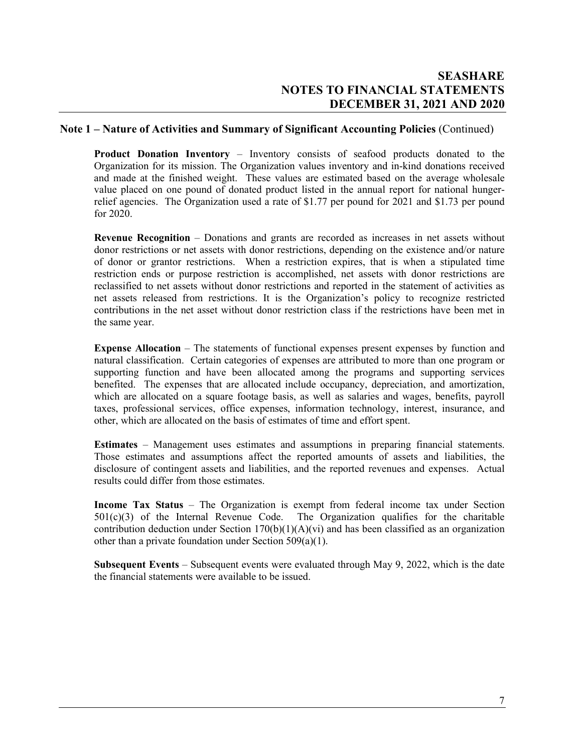#### **Note 1 – Nature of Activities and Summary of Significant Accounting Policies** (Continued)

**Product Donation Inventory** – Inventory consists of seafood products donated to the Organization for its mission. The Organization values inventory and in-kind donations received and made at the finished weight. These values are estimated based on the average wholesale value placed on one pound of donated product listed in the annual report for national hungerrelief agencies. The Organization used a rate of \$1.77 per pound for 2021 and \$1.73 per pound for 2020.

**Revenue Recognition** – Donations and grants are recorded as increases in net assets without donor restrictions or net assets with donor restrictions, depending on the existence and/or nature of donor or grantor restrictions. When a restriction expires, that is when a stipulated time restriction ends or purpose restriction is accomplished, net assets with donor restrictions are reclassified to net assets without donor restrictions and reported in the statement of activities as net assets released from restrictions. It is the Organization's policy to recognize restricted contributions in the net asset without donor restriction class if the restrictions have been met in the same year.

**Expense Allocation** – The statements of functional expenses present expenses by function and natural classification. Certain categories of expenses are attributed to more than one program or supporting function and have been allocated among the programs and supporting services benefited. The expenses that are allocated include occupancy, depreciation, and amortization, which are allocated on a square footage basis, as well as salaries and wages, benefits, payroll taxes, professional services, office expenses, information technology, interest, insurance, and other, which are allocated on the basis of estimates of time and effort spent.

**Estimates** – Management uses estimates and assumptions in preparing financial statements. Those estimates and assumptions affect the reported amounts of assets and liabilities, the disclosure of contingent assets and liabilities, and the reported revenues and expenses. Actual results could differ from those estimates.

**Income Tax Status** – The Organization is exempt from federal income tax under Section  $501(c)(3)$  of the Internal Revenue Code. The Organization qualifies for the charitable contribution deduction under Section  $170(b)(1)(A)(vi)$  and has been classified as an organization other than a private foundation under Section 509(a)(1).

**Subsequent Events** – Subsequent events were evaluated through May 9, 2022, which is the date the financial statements were available to be issued.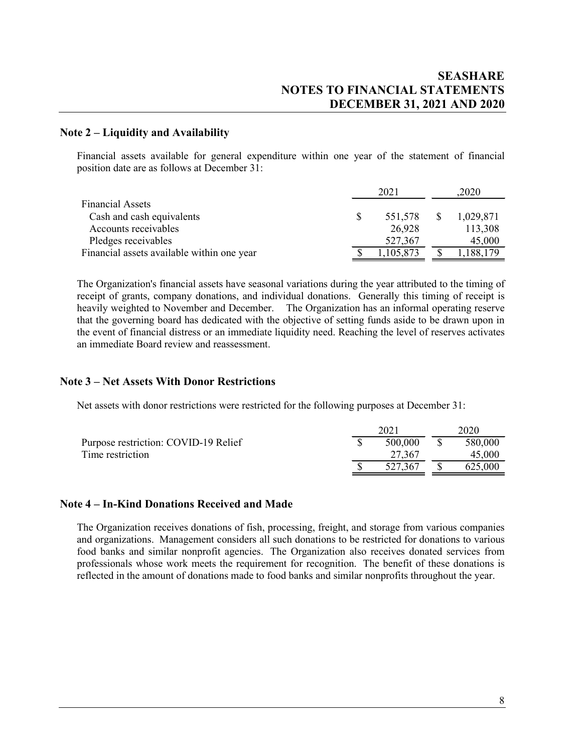#### **Note 2 – Liquidity and Availability**

Financial assets available for general expenditure within one year of the statement of financial position date are as follows at December 31:

|                                            | 2021      |     | ,2020     |  |  |
|--------------------------------------------|-----------|-----|-----------|--|--|
| <b>Financial Assets</b>                    |           |     |           |  |  |
| Cash and cash equivalents                  | 551,578   | -SS | 1,029,871 |  |  |
| Accounts receivables                       | 26,928    |     | 113,308   |  |  |
| Pledges receivables                        | 527,367   |     | 45,000    |  |  |
| Financial assets available within one year | 1,105,873 |     | 1,188,179 |  |  |

The Organization's financial assets have seasonal variations during the year attributed to the timing of receipt of grants, company donations, and individual donations. Generally this timing of receipt is heavily weighted to November and December. The Organization has an informal operating reserve that the governing board has dedicated with the objective of setting funds aside to be drawn upon in the event of financial distress or an immediate liquidity need. Reaching the level of reserves activates an immediate Board review and reassessment.

#### **Note 3 – Net Assets With Donor Restrictions**

Net assets with donor restrictions were restricted for the following purposes at December 31:

|                                      | 2021    |  | 2020    |  |  |
|--------------------------------------|---------|--|---------|--|--|
| Purpose restriction: COVID-19 Relief | 500,000 |  | 580,000 |  |  |
| Time restriction                     | 27,367  |  | 45,000  |  |  |
|                                      | 527,367 |  | 625,000 |  |  |

### **Note 4 – In-Kind Donations Received and Made**

The Organization receives donations of fish, processing, freight, and storage from various companies and organizations. Management considers all such donations to be restricted for donations to various food banks and similar nonprofit agencies. The Organization also receives donated services from professionals whose work meets the requirement for recognition. The benefit of these donations is reflected in the amount of donations made to food banks and similar nonprofits throughout the year.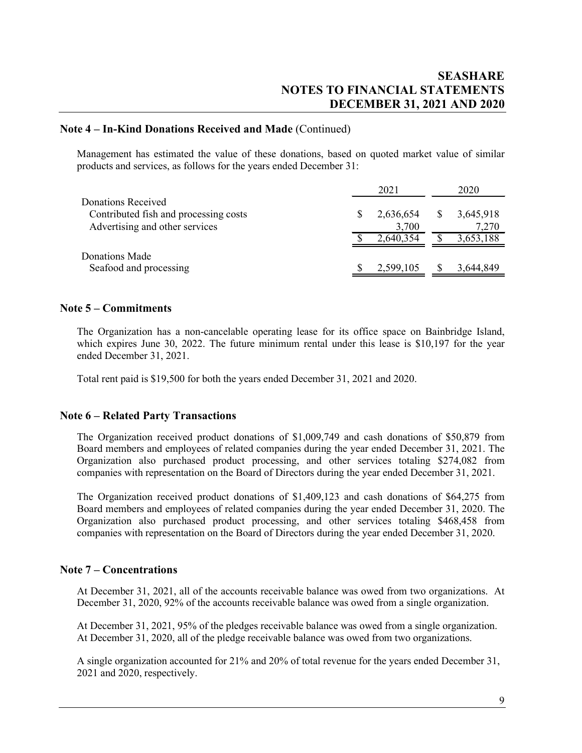### **Note 4 – In-Kind Donations Received and Made** (Continued)

Management has estimated the value of these donations, based on quoted market value of similar products and services, as follows for the years ended December 31:

|                                                                                               | 2021                            |   | 2020                            |
|-----------------------------------------------------------------------------------------------|---------------------------------|---|---------------------------------|
| Donations Received<br>Contributed fish and processing costs<br>Advertising and other services | 2,636,654<br>3,700<br>2,640,354 | S | 3,645,918<br>7,270<br>3,653,188 |
| Donations Made<br>Seafood and processing                                                      | 2,599,105                       |   | 3,644,849                       |

#### **Note 5 – Commitments**

The Organization has a non-cancelable operating lease for its office space on Bainbridge Island, which expires June 30, 2022. The future minimum rental under this lease is \$10,197 for the year ended December 31, 2021.

Total rent paid is \$19,500 for both the years ended December 31, 2021 and 2020.

#### **Note 6 – Related Party Transactions**

The Organization received product donations of \$1,009,749 and cash donations of \$50,879 from Board members and employees of related companies during the year ended December 31, 2021. The Organization also purchased product processing, and other services totaling \$274,082 from companies with representation on the Board of Directors during the year ended December 31, 2021.

The Organization received product donations of \$1,409,123 and cash donations of \$64,275 from Board members and employees of related companies during the year ended December 31, 2020. The Organization also purchased product processing, and other services totaling \$468,458 from companies with representation on the Board of Directors during the year ended December 31, 2020.

#### **Note 7 – Concentrations**

At December 31, 2021, all of the accounts receivable balance was owed from two organizations. At December 31, 2020, 92% of the accounts receivable balance was owed from a single organization.

At December 31, 2021, 95% of the pledges receivable balance was owed from a single organization. At December 31, 2020, all of the pledge receivable balance was owed from two organizations.

A single organization accounted for 21% and 20% of total revenue for the years ended December 31, 2021 and 2020, respectively.